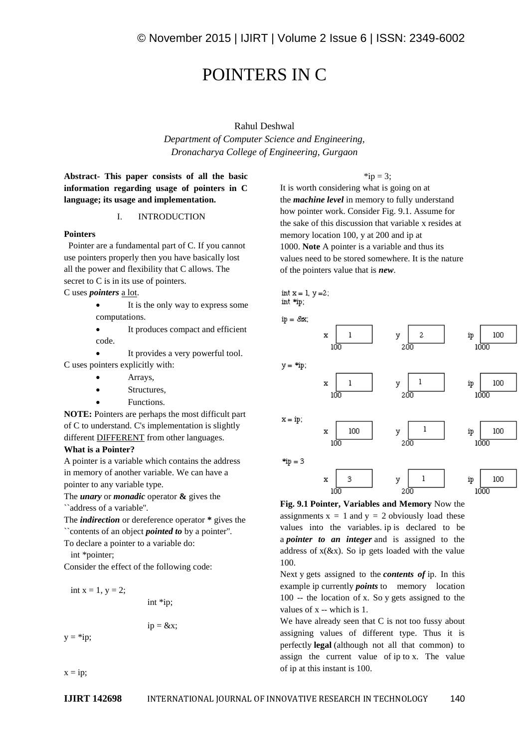# POINTERS IN C

## Rahul Deshwal

*Department of Computer Science and Engineering, Dronacharya College of Engineering, Gurgaon*

## **Abstract- This paper consists of all the basic information regarding usage of pointers in C language; its usage and implementation.**

#### I. INTRODUCTION

#### **Pointers**

Pointer are a fundamental part of C. If you cannot use pointers properly then you have basically lost all the power and flexibility that C allows. The secret to C is in its use of pointers. C uses *pointers* a lot.

- It is the only way to express some computations.
- It produces compact and efficient code.

 It provides a very powerful tool. C uses pointers explicitly with:

- Arrays,
- Structures,
- Functions.

**NOTE:** Pointers are perhaps the most difficult part of C to understand. C's implementation is slightly different DIFFERENT from other languages.

## **What is a Pointer?**

A pointer is a variable which contains the address in memory of another variable. We can have a pointer to any variable type.

The *unary* or *monadic* operator **&** gives the

``address of a variable''.

The *indirection* or dereference operator **\*** gives the ``contents of an object *pointed to* by a pointer''.

To declare a pointer to a variable do: int \*pointer;

Consider the effect of the following code:

$$
int x = 1, y = 2;
$$

$$
int *ip;
$$

$$
ip = \& x;
$$

 $y = *ip;$ 

 $x = ip;$ 

 $*ip = 3$ ; It is worth considering what is going on at the *machine level* in memory to fully understand how pointer work. Consider Fig. 9.1. Assume for the sake of this discussion that variable x resides at memory location 100, y at 200 and ip at 1000. **Note** A pointer is a variable and thus its values need to be stored somewhere. It is the nature of the pointers value that is *new*.





**Fig. 9.1 Pointer, Variables and Memory** Now the assignments  $x = 1$  and  $y = 2$  obviously load these values into the variables. ip is declared to be a *pointer to an integer* and is assigned to the address of  $x(x, x)$ . So ip gets loaded with the value 100.

Next y gets assigned to the *contents of* ip. In this example ip currently *points* to memory location 100 -- the location of x. So y gets assigned to the values of x -- which is 1.

We have already seen that C is not too fussy about assigning values of different type. Thus it is perfectly **legal** (although not all that common) to assign the current value of ip to x. The value of ip at this instant is 100.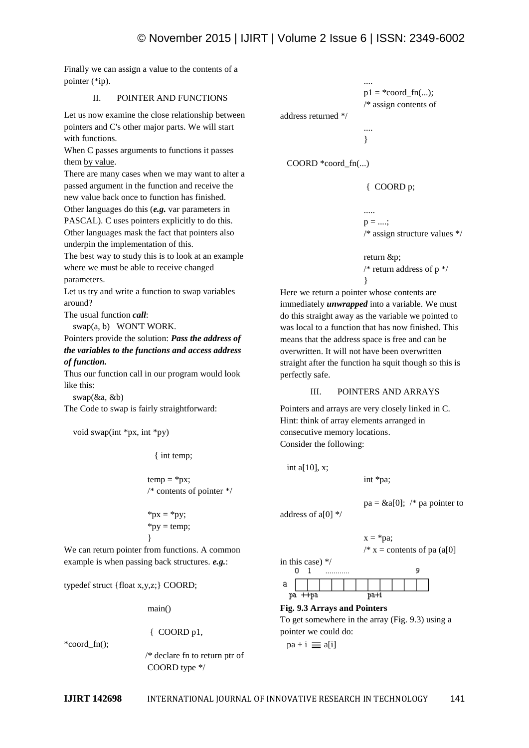Finally we can assign a value to the contents of a pointer (\*ip).

#### II. POINTER AND FUNCTIONS

Let us now examine the close relationship between pointers and C's other major parts. We will start with functions.

When C passes arguments to functions it passes them by value.

There are many cases when we may want to alter a passed argument in the function and receive the new value back once to function has finished. Other languages do this (*e.g.* var parameters in PASCAL). C uses pointers explicitly to do this. Other languages mask the fact that pointers also underpin the implementation of this.

The best way to study this is to look at an example where we must be able to receive changed parameters.

Let us try and write a function to swap variables around?

The usual function *call*:

swap(a, b) WON'T WORK.

Pointers provide the solution: *Pass the address of the variables to the functions and access address of function.*

Thus our function call in our program would look like this:

swap(&a, &b)

The Code to swap is fairly straightforward:

void swap(int \*px, int \*py)

{ int temp;

$$
\begin{aligned}\n\text{temp} &= \text{*px}; \\
\text{/* contents of pointer } \text{*}\n\end{aligned}
$$

$$
*px = *py;
$$
  

$$
*py = temp;
$$

We can return pointer from functions. A common example is when passing back structures. *e.g.*:

typedef struct {float x,y,z;} COORD;

main()

$$
\{ \text{ COORD } p1,
$$

\*coord\_fn();

/\* declare fn to return ptr of COORD type \*/

....  $p1 = *coord$  fn(...); /\* assign contents of address returned \*/ ....

}

COORD \*coord\_fn(...)

#### { COORD p;

.....  $p = \ldots;$ /\* assign structure values \*/

return &p; /\* return address of p \*/

Here we return a pointer whose contents are immediately *unwrapped* into a variable. We must do this straight away as the variable we pointed to was local to a function that has now finished. This means that the address space is free and can be overwritten. It will not have been overwritten straight after the function ha squit though so this is perfectly safe.

}

#### III. POINTERS AND ARRAYS

Pointers and arrays are very closely linked in C. Hint: think of array elements arranged in consecutive memory locations. Consider the following:

int a[10],  $x$ ;

int \*pa;

address of a[0] \*/

 $pa = \&a[0];$  /\* pa pointer to





### **Fig. 9.3 Arrays and Pointers**

To get somewhere in the array (Fig. 9.3) using a pointer we could do:

 $pa + i \equiv a[i]$